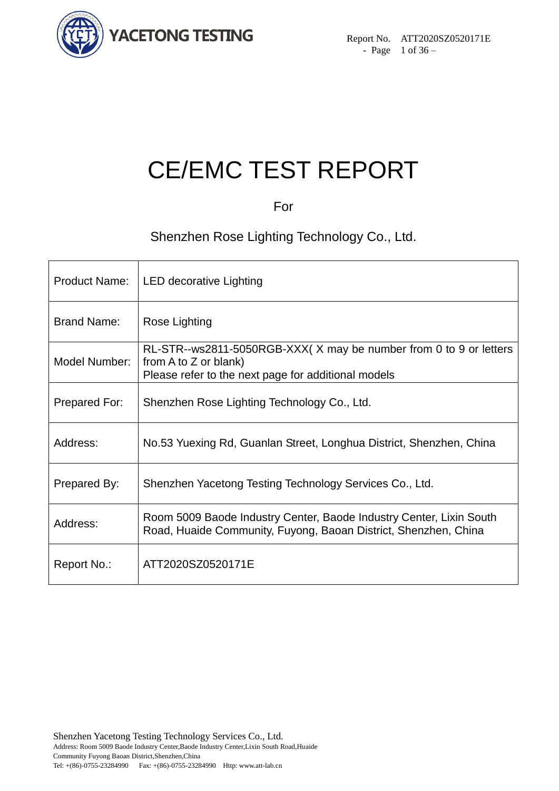

# CE/EMC TEST REPORT

For

Shenzhen Rose Lighting Technology Co., Ltd.

| <b>Product Name:</b> | <b>LED decorative Lighting</b>                                                                                                                    |
|----------------------|---------------------------------------------------------------------------------------------------------------------------------------------------|
| <b>Brand Name:</b>   | Rose Lighting                                                                                                                                     |
| Model Number:        | RL-STR--ws2811-5050RGB-XXX(X may be number from 0 to 9 or letters<br>from A to Z or blank)<br>Please refer to the next page for additional models |
| Prepared For:        | Shenzhen Rose Lighting Technology Co., Ltd.                                                                                                       |
| Address:             | No.53 Yuexing Rd, Guanlan Street, Longhua District, Shenzhen, China                                                                               |
| Prepared By:         | Shenzhen Yacetong Testing Technology Services Co., Ltd.                                                                                           |
| Address:             | Room 5009 Baode Industry Center, Baode Industry Center, Lixin South<br>Road, Huaide Community, Fuyong, Baoan District, Shenzhen, China            |
| Report No.:          | ATT2020SZ0520171E                                                                                                                                 |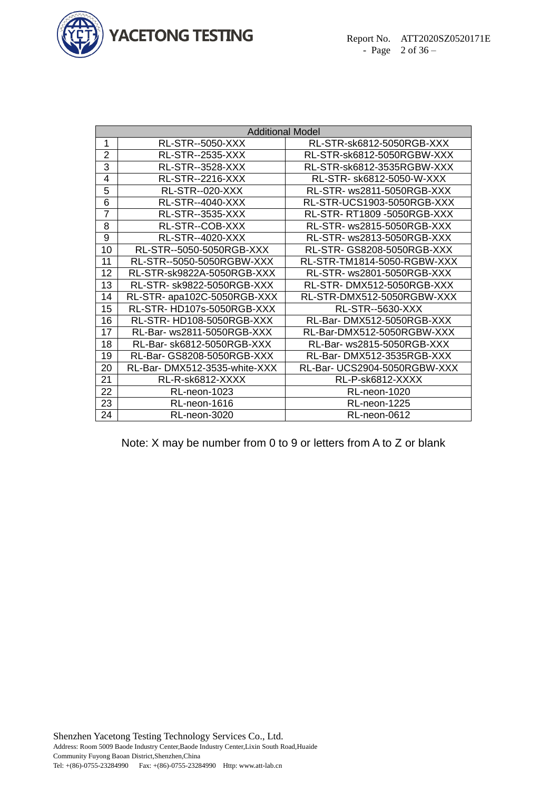

|                | <b>Additional Model</b>      |                                    |  |  |  |
|----------------|------------------------------|------------------------------------|--|--|--|
| 1              | <b>RL-STR--5050-XXX</b>      | RL-STR-sk6812-5050RGB-XXX          |  |  |  |
| $\overline{2}$ | RL-STR--2535-XXX             | RL-STR-sk6812-5050RGBW-XXX         |  |  |  |
| 3              | RL-STR--3528-XXX             | RL-STR-sk6812-3535RGBW-XXX         |  |  |  |
| 4              | <b>RL-STR--2216-XXX</b>      | RL-STR- sk6812-5050-W-XXX          |  |  |  |
| 5              | RL-STR--020-XXX              | RL-STR- ws2811-5050RGB-XXX         |  |  |  |
| 6              | <b>RL-STR--4040-XXX</b>      | RL-STR-UCS1903-5050RGB-XXX         |  |  |  |
| $\overline{7}$ | <b>RL-STR--3535-XXX</b>      | <b>RL-STR- RT1809 -5050RGB-XXX</b> |  |  |  |
| 8              | RL-STR--COB-XXX              | RL-STR- ws2815-5050RGB-XXX         |  |  |  |
| 9              | RL-STR--4020-XXX             | RL-STR- ws2813-5050RGB-XXX         |  |  |  |
| 10             | RL-STR--5050-5050RGB-XXX     | RL-STR- GS8208-5050RGB-XXX         |  |  |  |
| 11             | RL-STR--5050-5050RGBW-XXX    | RL-STR-TM1814-5050-RGBW-XXX        |  |  |  |
| 12             | RL-STR-sk9822A-5050RGB-XXX   | RL-STR- ws2801-5050RGB-XXX         |  |  |  |
| 13             | RL-STR- sk9822-5050RGB-XXX   | RL-STR-DMX512-5050RGB-XXX          |  |  |  |
| 14             | RL-STR- apa102C-5050RGB-XXX  | RL-STR-DMX512-5050RGBW-XXX         |  |  |  |
| 15             | RL-STR-HD107s-5050RGB-XXX    | RL-STR--5630-XXX                   |  |  |  |
| 16             | RL-STR-HD108-5050RGB-XXX     | RL-Bar-DMX512-5050RGB-XXX          |  |  |  |
| 17             | RL-Bar- ws2811-5050RGB-XXX   | RL-Bar-DMX512-5050RGBW-XXX         |  |  |  |
| 18             | RL-Bar- sk6812-5050RGB-XXX   | RL-Bar- ws2815-5050RGB-XXX         |  |  |  |
| 19             | RL-Bar- GS8208-5050RGB-XXX   | RL-Bar-DMX512-3535RGB-XXX          |  |  |  |
| 20             | RL-Bar-DMX512-3535-white-XXX | RL-Bar- UCS2904-5050RGBW-XXX       |  |  |  |
| 21             | RL-R-sk6812-XXXX             | RL-P-sk6812-XXXX                   |  |  |  |
| 22             | RL-neon-1023                 | RL-neon-1020                       |  |  |  |
| 23             | RL-neon-1616                 | RL-neon-1225                       |  |  |  |
| 24             | RL-neon-3020                 | RL-neon-0612                       |  |  |  |

Note: X may be number from 0 to 9 or letters from A to Z or blank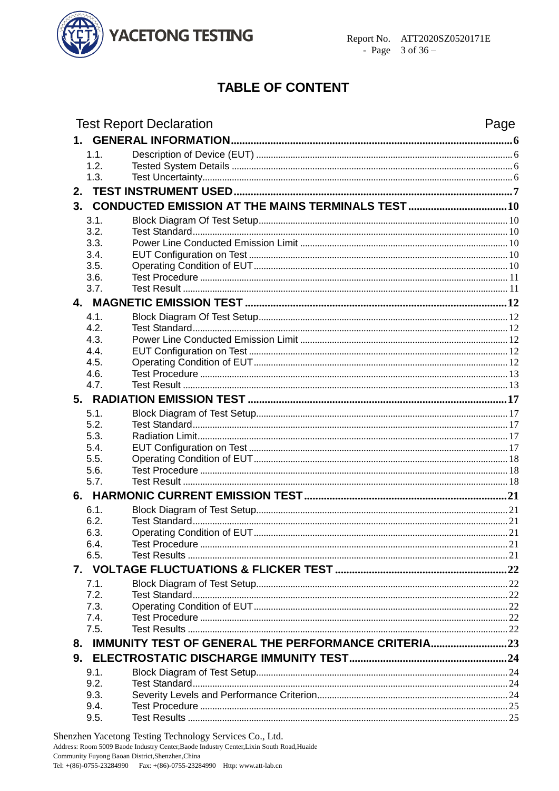

# **TABLE OF CONTENT**

|    | <b>Test Report Declaration</b>                         | Page |
|----|--------------------------------------------------------|------|
|    |                                                        |      |
|    | 1.1.                                                   |      |
|    | 1.2.                                                   |      |
|    | 1.3.                                                   |      |
|    |                                                        |      |
| 3. |                                                        |      |
|    | 3.1.                                                   |      |
|    | 3.2.                                                   |      |
|    | 3.3.                                                   |      |
|    | 3.4.                                                   |      |
|    | 3.5.<br>3.6.                                           |      |
|    | 3.7.                                                   |      |
|    |                                                        |      |
|    | 4.1.                                                   |      |
|    | 4.2.                                                   |      |
|    | 4.3.                                                   |      |
|    | 4.4.                                                   |      |
|    | 4.5.                                                   |      |
|    | 4.6.<br>4.7.                                           |      |
|    |                                                        |      |
|    |                                                        |      |
|    | 5.1.<br>5.2.                                           |      |
|    | 5.3.                                                   |      |
|    | 5.4.                                                   |      |
|    | 5.5.                                                   |      |
|    | 5.6.                                                   |      |
|    | 5.7.                                                   |      |
|    |                                                        |      |
|    | 6.1.                                                   |      |
|    | 6.2.                                                   |      |
|    | Operating Condition of EUT.<br>21<br>6.3.<br>6.4.      |      |
|    | 6.5.                                                   |      |
|    |                                                        |      |
|    | 7.1.                                                   |      |
|    | 7.2.                                                   |      |
|    | 7.3.                                                   |      |
|    | 7.4.                                                   |      |
|    | 7.5.                                                   |      |
|    | 8. IMMUNITY TEST OF GENERAL THE PERFORMANCE CRITERIA23 |      |
|    |                                                        |      |
|    | 9.1.                                                   |      |
|    | 9.2.                                                   |      |
|    | 9.3.                                                   |      |
|    | 9.4.<br>9.5.                                           |      |
|    |                                                        |      |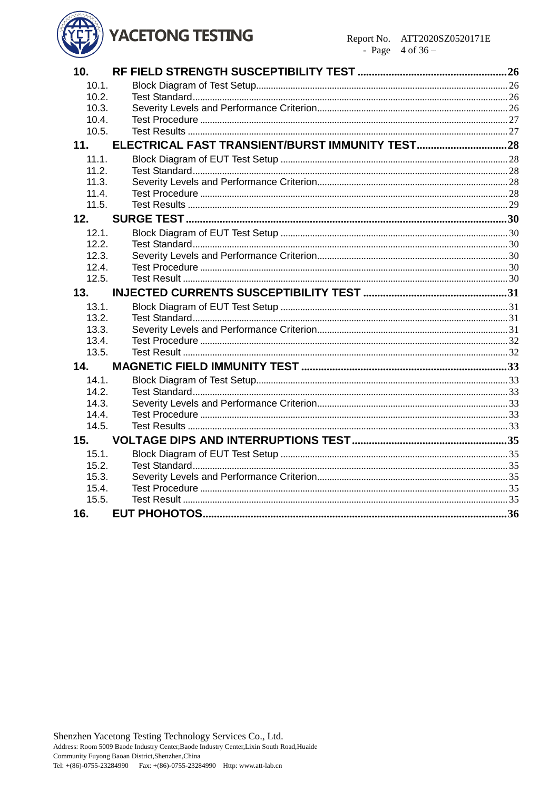# **YACETONG TESTING**



| 10 <sub>1</sub> |  |
|-----------------|--|
| 10.1.           |  |
| 10.2.           |  |
| 10.3.           |  |
| 10.4.           |  |
| 10.5.           |  |
| 11.             |  |
| 11.1.           |  |
| 11.2.           |  |
| 11.3.           |  |
| 11.4.           |  |
| 11.5.           |  |
| 12.             |  |
| 12.1.           |  |
| 12.2.           |  |
| 12.3.           |  |
| 12.4.           |  |
| 12.5.           |  |
| 13.             |  |
| 13.1.           |  |
| 13.2.           |  |
| 13.3.           |  |
| 13.4.           |  |
| 13.5.           |  |
| 14.             |  |
| 14.1.           |  |
| 14.2.           |  |
| 14.3.           |  |
| 14.4.           |  |
| 14.5.           |  |
| 15.             |  |
| 15.1.           |  |
| 15.2.           |  |
| 15.3.           |  |
| 15.4.           |  |
| 15.5.           |  |
| 16.             |  |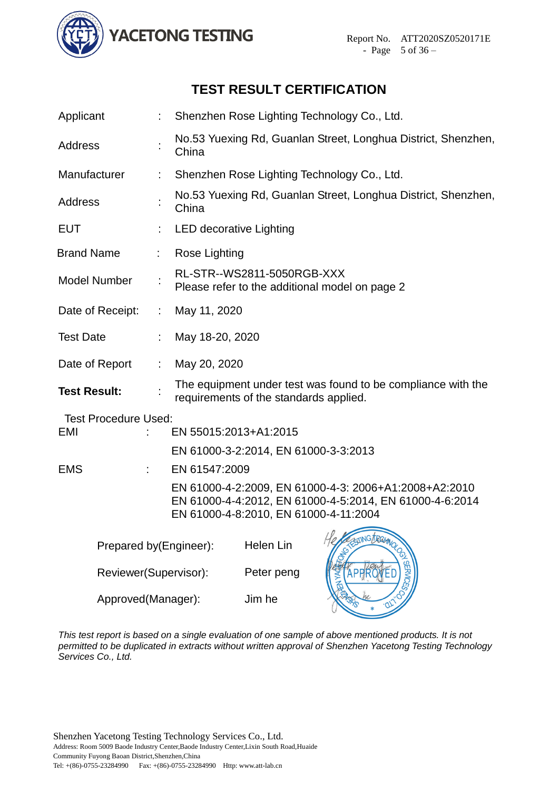

# **TEST RESULT CERTIFICATION**

| Applicant                   |                |                                | Shenzhen Rose Lighting Technology Co., Ltd.                   |                                                                                                                  |  |  |
|-----------------------------|----------------|--------------------------------|---------------------------------------------------------------|------------------------------------------------------------------------------------------------------------------|--|--|
| <b>Address</b>              |                | China                          | No.53 Yuexing Rd, Guanlan Street, Longhua District, Shenzhen, |                                                                                                                  |  |  |
| Manufacturer                |                |                                |                                                               | Shenzhen Rose Lighting Technology Co., Ltd.                                                                      |  |  |
| <b>Address</b>              |                | China                          |                                                               | No.53 Yuexing Rd, Guanlan Street, Longhua District, Shenzhen,                                                    |  |  |
| <b>EUT</b>                  |                | <b>LED decorative Lighting</b> |                                                               |                                                                                                                  |  |  |
| <b>Brand Name</b>           |                | Rose Lighting                  |                                                               |                                                                                                                  |  |  |
| <b>Model Number</b>         |                |                                | RL-STR--WS2811-5050RGB-XXX                                    | Please refer to the additional model on page 2                                                                   |  |  |
| Date of Receipt:            | $\mathbb{Z}^n$ | May 11, 2020                   |                                                               |                                                                                                                  |  |  |
| <b>Test Date</b>            |                | May 18-20, 2020                |                                                               |                                                                                                                  |  |  |
| Date of Report              | ÷.             | May 20, 2020                   |                                                               |                                                                                                                  |  |  |
| <b>Test Result:</b>         |                |                                | requirements of the standards applied.                        | The equipment under test was found to be compliance with the                                                     |  |  |
| <b>Test Procedure Used:</b> |                |                                |                                                               |                                                                                                                  |  |  |
| EMI                         |                | EN 55015:2013+A1:2015          |                                                               |                                                                                                                  |  |  |
|                             |                |                                | EN 61000-3-2:2014, EN 61000-3-3:2013                          |                                                                                                                  |  |  |
| <b>EMS</b>                  | ÷.             | EN 61547:2009                  |                                                               |                                                                                                                  |  |  |
|                             |                |                                | EN 61000-4-8:2010, EN 61000-4-11:2004                         | EN 61000-4-2:2009, EN 61000-4-3: 2006+A1:2008+A2:2010<br>EN 61000-4-4:2012, EN 61000-4-5:2014, EN 61000-4-6:2014 |  |  |
| Prepared by(Engineer):      |                |                                | Helen Lin                                                     | STEATING DRAWING                                                                                                 |  |  |
| Reviewer(Supervisor):       |                |                                | Peter peng                                                    | <b>SERVIC</b>                                                                                                    |  |  |
| Approved(Manager):          |                |                                | Jim he                                                        |                                                                                                                  |  |  |

*This test report is based on a single evaluation of one sample of above mentioned products. It is not permitted to be duplicated in extracts without written approval of Shenzhen Yacetong Testing Technology Services Co., Ltd.*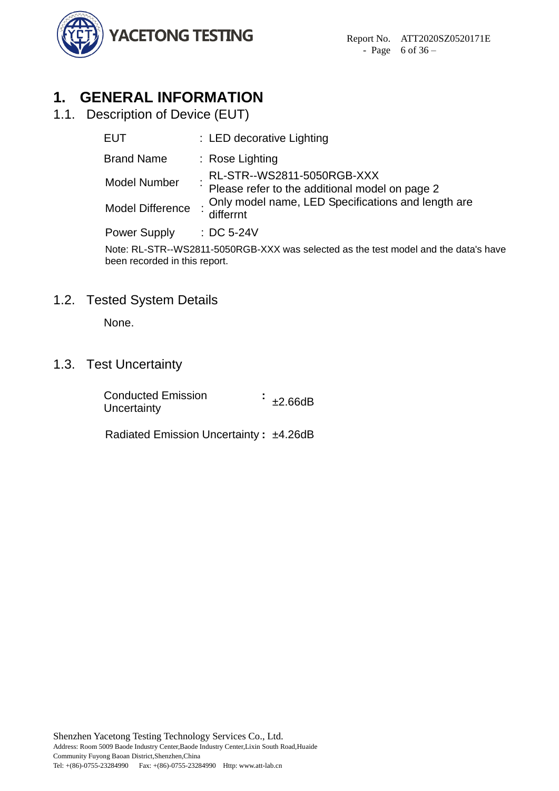

# <span id="page-5-0"></span>**1. GENERAL INFORMATION**

<span id="page-5-1"></span>1.1. Description of Device (EUT)

| EUT                 | : LED decorative Lighting                                                    |
|---------------------|------------------------------------------------------------------------------|
| <b>Brand Name</b>   | $:$ Rose Lighting                                                            |
| <b>Model Number</b> | RL-STR--WS2811-5050RGB-XXX<br>Please refer to the additional model on page 2 |
| Model Difference    | Only model name, LED Specifications and length are<br>differrnt              |
| <b>Power Supply</b> | $\therefore$ DC 5-24V                                                        |
|                     | <u>Macini Ath Manazaranan WW seria da casta da tale da t</u>                 |

Note: RL-STR--WS2811-5050RGB-XXX was selected as the test model and the data's have been recorded in this report.

# <span id="page-5-2"></span>1.2. Tested System Details

None.

# <span id="page-5-3"></span>1.3. Test Uncertainty

| <b>Conducted Emission</b> | ±2.66dB |
|---------------------------|---------|
| Uncertainty               |         |

Radiated Emission Uncertainty **:** ±4.26dB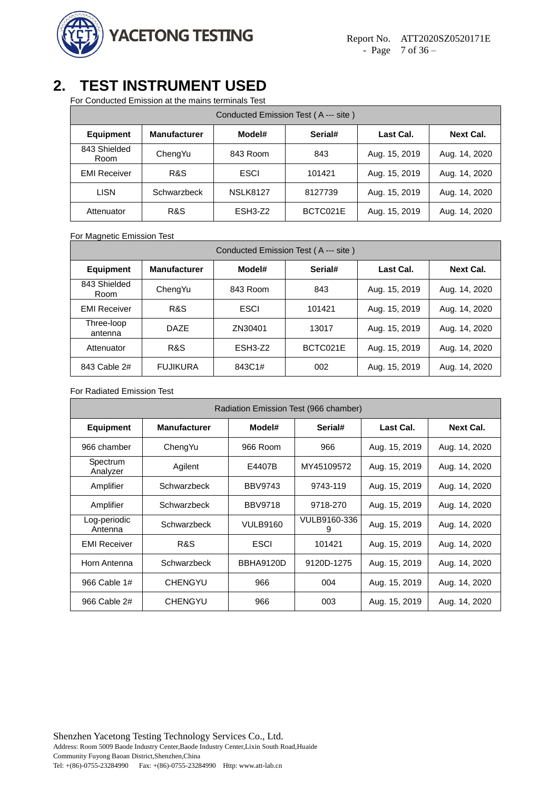

# <span id="page-6-0"></span>**2. TEST INSTRUMENT USED**

For Conducted Emission at the mains terminals Test

| Conducted Emission Test (A--- site) |                     |                 |          |               |               |  |
|-------------------------------------|---------------------|-----------------|----------|---------------|---------------|--|
| <b>Equipment</b>                    | <b>Manufacturer</b> | Model#          | Serial#  | Last Cal.     | Next Cal.     |  |
| 843 Shielded<br>Room                | ChengYu             | 843 Room        | 843      | Aug. 15, 2019 | Aug. 14, 2020 |  |
| <b>EMI Receiver</b>                 | R&S                 | <b>ESCI</b>     | 101421   | Aug. 15, 2019 | Aug. 14, 2020 |  |
| <b>LISN</b>                         | Schwarzbeck         | <b>NSLK8127</b> | 8127739  | Aug. 15, 2019 | Aug. 14, 2020 |  |
| Attenuator                          | R&S                 | ESH3-Z2         | BCTC021E | Aug. 15, 2019 | Aug. 14, 2020 |  |

For Magnetic Emission Test

| Conducted Emission Test (A --- site) |                     |             |          |               |                  |  |
|--------------------------------------|---------------------|-------------|----------|---------------|------------------|--|
| <b>Equipment</b>                     | <b>Manufacturer</b> | Model#      | Serial#  | Last Cal.     | <b>Next Cal.</b> |  |
| 843 Shielded<br>Room                 | ChengYu             | 843 Room    | 843      | Aug. 15, 2019 | Aug. 14, 2020    |  |
| <b>EMI Receiver</b>                  | R&S                 | <b>ESCI</b> | 101421   | Aug. 15, 2019 | Aug. 14, 2020    |  |
| Three-loop<br>antenna                | DA7F                | ZN30401     | 13017    | Aug. 15, 2019 | Aug. 14, 2020    |  |
| Attenuator                           | R&S                 | ESH3-Z2     | BCTC021E | Aug. 15, 2019 | Aug. 14, 2020    |  |
| 843 Cable 2#                         | <b>FUJIKURA</b>     | 843C1#      | 002      | Aug. 15, 2019 | Aug. 14, 2020    |  |

#### For Radiated Emission Test

| Radiation Emission Test (966 chamber) |                     |                 |                   |               |                  |  |
|---------------------------------------|---------------------|-----------------|-------------------|---------------|------------------|--|
| <b>Equipment</b>                      | <b>Manufacturer</b> | Model#          | Serial#           | Last Cal.     | <b>Next Cal.</b> |  |
| 966 chamber                           | ChengYu             | 966 Room        | 966               | Aug. 15, 2019 | Aug. 14, 2020    |  |
| Spectrum<br>Analyzer                  | Agilent             | E4407B          | MY45109572        | Aug. 15, 2019 | Aug. 14, 2020    |  |
| Amplifier                             | Schwarzbeck         | <b>BBV9743</b>  | 9743-119          | Aug. 15, 2019 | Aug. 14, 2020    |  |
| Amplifier                             | Schwarzbeck         | <b>BBV9718</b>  | 9718-270          | Aug. 15, 2019 | Aug. 14, 2020    |  |
| Log-periodic<br>Antenna               | Schwarzbeck         | <b>VULB9160</b> | VULB9160-336<br>9 | Aug. 15, 2019 | Aug. 14, 2020    |  |
| <b>EMI Receiver</b>                   | R&S                 | <b>ESCI</b>     | 101421            | Aug. 15, 2019 | Aug. 14, 2020    |  |
| Horn Antenna                          | Schwarzbeck         | BBHA9120D       | 9120D-1275        | Aug. 15, 2019 | Aug. 14, 2020    |  |
| 966 Cable 1#                          | <b>CHENGYU</b>      | 966             | 004               | Aug. 15, 2019 | Aug. 14, 2020    |  |
| 966 Cable 2#                          | <b>CHENGYU</b>      | 966             | 003               | Aug. 15, 2019 | Aug. 14, 2020    |  |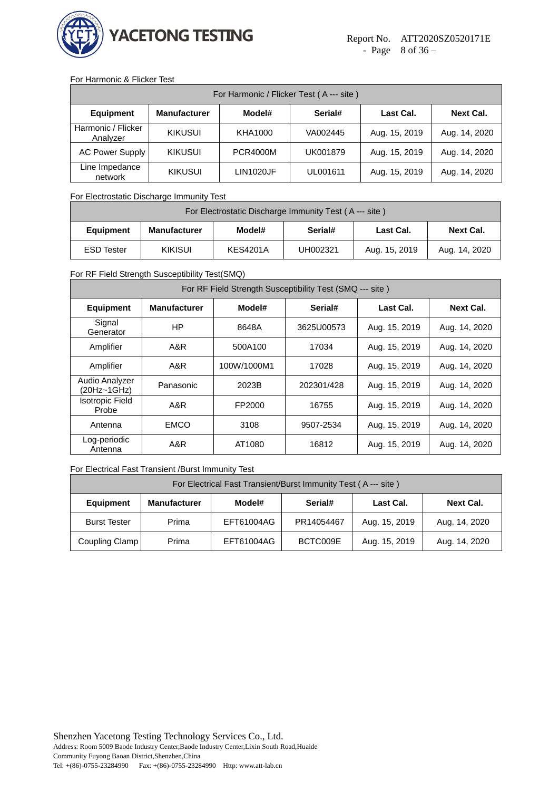

#### For Harmonic & Flicker Test

| For Harmonic / Flicker Test (A --- site) |                     |                  |          |               |                  |  |
|------------------------------------------|---------------------|------------------|----------|---------------|------------------|--|
| <b>Equipment</b>                         | <b>Manufacturer</b> | Model#           | Serial#  | Last Cal.     | <b>Next Cal.</b> |  |
| Harmonic / Flicker<br>Analyzer           | <b>KIKUSUI</b>      | KHA1000          | VA002445 | Aug. 15, 2019 | Aug. 14, 2020    |  |
| <b>AC Power Supply</b>                   | <b>KIKUSUI</b>      | <b>PCR4000M</b>  | UK001879 | Aug. 15, 2019 | Aug. 14, 2020    |  |
| Line Impedance<br>network                | <b>KIKUSUI</b>      | <b>LIN1020JF</b> | UL001611 | Aug. 15, 2019 | Aug. 14, 2020    |  |

#### For Electrostatic Discharge Immunity Test

| For Electrostatic Discharge Immunity Test (A --- site) |                     |                 |          |               |                  |
|--------------------------------------------------------|---------------------|-----------------|----------|---------------|------------------|
| <b>Equipment</b>                                       | <b>Manufacturer</b> | Model#          | Serial#  | Last Cal.     | <b>Next Cal.</b> |
| <b>ESD Tester</b>                                      | <b>KIKISUI</b>      | <b>KES4201A</b> | UH002321 | Aug. 15, 2019 | Aug. 14, 2020    |

#### For RF Field Strength Susceptibility Test(SMQ)

| For RF Field Strength Susceptibility Test (SMQ --- site) |                        |                   |                             |               |                  |  |  |  |
|----------------------------------------------------------|------------------------|-------------------|-----------------------------|---------------|------------------|--|--|--|
| <b>Equipment</b>                                         | <b>Manufacturer</b>    | Serial#<br>Model# |                             | Last Cal.     | <b>Next Cal.</b> |  |  |  |
| Signal<br>Generator                                      | ΗP                     | 8648A             | Aug. 15, 2019<br>3625U00573 |               | Aug. 14, 2020    |  |  |  |
| Amplifier                                                | A&R                    | 500A100<br>17034  |                             | Aug. 15, 2019 | Aug. 14, 2020    |  |  |  |
| Amplifier                                                | A&R                    | 100W/1000M1       | 17028                       | Aug. 15, 2019 | Aug. 14, 2020    |  |  |  |
| Audio Analyzer<br>(20Hz~1GHz)                            | Panasonic              | 2023B             | 202301/428                  | Aug. 15, 2019 | Aug. 14, 2020    |  |  |  |
| <b>Isotropic Field</b><br>Probe                          | A&R<br>FP2000<br>16755 |                   |                             | Aug. 15, 2019 | Aug. 14, 2020    |  |  |  |
| Antenna                                                  | <b>EMCO</b>            | 3108              | 9507-2534                   | Aug. 15, 2019 | Aug. 14, 2020    |  |  |  |
| Log-periodic<br>Antenna                                  | A&R                    | AT1080            | 16812                       | Aug. 15, 2019 | Aug. 14, 2020    |  |  |  |

#### For Electrical Fast Transient /Burst Immunity Test

| For Electrical Fast Transient/Burst Immunity Test (A --- site) |                                                                    |            |            |               |               |  |  |
|----------------------------------------------------------------|--------------------------------------------------------------------|------------|------------|---------------|---------------|--|--|
| <b>Equipment</b>                                               | <b>Manufacturer</b><br>Last Cal.<br>Next Cal.<br>Model#<br>Serial# |            |            |               |               |  |  |
| <b>Burst Tester</b>                                            | Prima                                                              | EFT61004AG | PR14054467 | Aug. 15, 2019 | Aug. 14, 2020 |  |  |
| Coupling Clamp                                                 | Prima                                                              | EFT61004AG | BCTC009E   | Aug. 15, 2019 | Aug. 14, 2020 |  |  |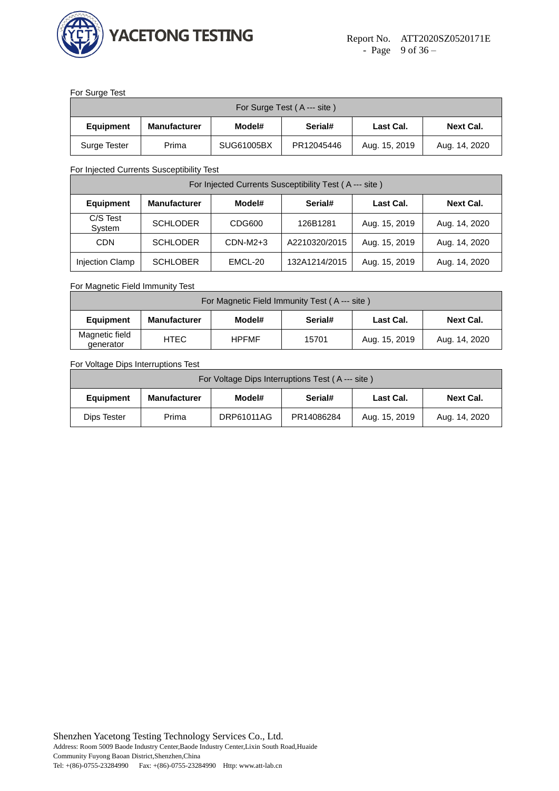

#### For Surge Test

| For Surge Test (A --- site) |                     |                                                    |            |               |               |  |  |
|-----------------------------|---------------------|----------------------------------------------------|------------|---------------|---------------|--|--|
| <b>Equipment</b>            | <b>Manufacturer</b> | Serial#<br>Model#<br>Last Cal.<br><b>Next Cal.</b> |            |               |               |  |  |
| Surge Tester                | Prima               | SUG61005BX                                         | PR12045446 | Aug. 15, 2019 | Aug. 14, 2020 |  |  |

For Injected Currents Susceptibility Test

| For Injected Currents Susceptibility Test (A--- site) |                     |            |               |               |               |  |  |  |
|-------------------------------------------------------|---------------------|------------|---------------|---------------|---------------|--|--|--|
| <b>Equipment</b>                                      | <b>Manufacturer</b> | Model#     | Last Cal.     | Next Cal.     |               |  |  |  |
| C/S Test<br>System                                    | <b>SCHLODER</b>     | CDG600     | 126B1281      | Aug. 15, 2019 | Aug. 14, 2020 |  |  |  |
| <b>CDN</b>                                            | <b>SCHLODER</b>     | $CDN-M2+3$ | A2210320/2015 | Aug. 15, 2019 | Aug. 14, 2020 |  |  |  |
| Injection Clamp                                       | <b>SCHLOBER</b>     | EMCL-20    | 132A1214/2015 | Aug. 15, 2019 | Aug. 14, 2020 |  |  |  |

For Magnetic Field Immunity Test

| For Magnetic Field Immunity Test (A --- site) |                     |                                                    |       |               |               |  |  |  |
|-----------------------------------------------|---------------------|----------------------------------------------------|-------|---------------|---------------|--|--|--|
| <b>Equipment</b>                              | <b>Manufacturer</b> | Serial#<br>Model#<br><b>Next Cal.</b><br>Last Cal. |       |               |               |  |  |  |
| Magnetic field<br>generator                   | HTEC                | <b>HPFMF</b>                                       | 15701 | Aug. 15, 2019 | Aug. 14, 2020 |  |  |  |

For Voltage Dips Interruptions Test

| For Voltage Dips Interruptions Test (A --- site) |                                                                           |            |            |               |               |  |  |
|--------------------------------------------------|---------------------------------------------------------------------------|------------|------------|---------------|---------------|--|--|
| <b>Equipment</b>                                 | Serial#<br>Model#<br><b>Next Cal.</b><br><b>Manufacturer</b><br>Last Cal. |            |            |               |               |  |  |
| Dips Tester                                      | Prima                                                                     | DRP61011AG | PR14086284 | Aug. 15, 2019 | Aug. 14, 2020 |  |  |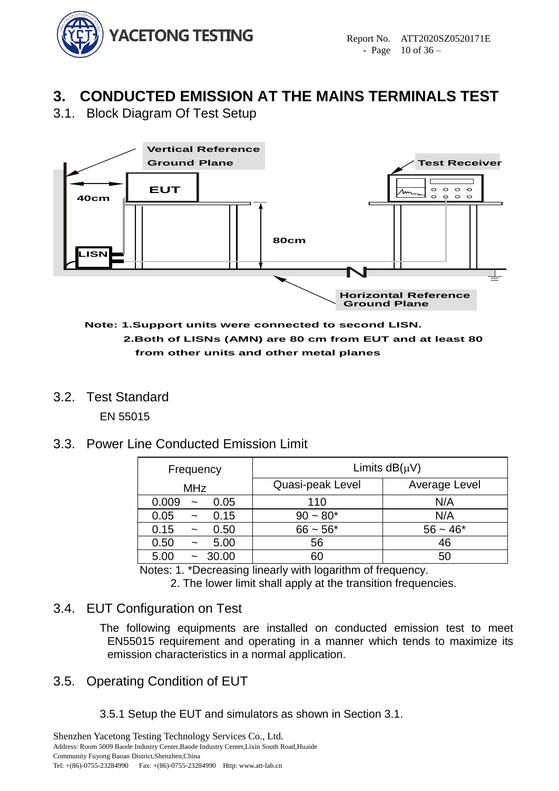

# <span id="page-9-0"></span>**3. CONDUCTED EMISSION AT THE MAINS TERMINALS TEST**

<span id="page-9-1"></span>3.1. Block Diagram Of Test Setup



#### **Note: 1.Support units were connected to second LISN. 2.Both of LISNs (AMN) are 80 cm from EUT and at least 80 cm from other units and other metal planes**

<span id="page-9-2"></span>3.2. Test Standard

EN 55015

# <span id="page-9-3"></span>3.3. Power Line Conducted Emission Limit

| Frequency                              | Limits $dB(\mu V)$ |               |  |  |
|----------------------------------------|--------------------|---------------|--|--|
| <b>MHz</b>                             | Quasi-peak Level   | Average Level |  |  |
| 0.009<br>0.05<br>$\tilde{\phantom{a}}$ | 110                | N/A           |  |  |
| 0.15<br>0.05<br>$\tilde{\phantom{a}}$  | $90 - 80*$         | N/A           |  |  |
| 0.15<br>0.50<br>$\tilde{\phantom{a}}$  | $66 - 56*$         | $56 - 46*$    |  |  |
| 5.00<br>0.50<br>$\tilde{\phantom{a}}$  | 56                 | 46            |  |  |
| 5.00<br>30.00                          | 60                 | 50            |  |  |

Notes: 1. \*Decreasing linearly with logarithm of frequency.

2. The lower limit shall apply at the transition frequencies.

# <span id="page-9-4"></span>3.4. EUT Configuration on Test

The following equipments are installed on conducted emission test to meet EN55015 requirement and operating in a manner which tends to maximize its emission characteristics in a normal application.

# <span id="page-9-5"></span>3.5. Operating Condition of EUT

3.5.1 Setup the EUT and simulators as shown in Section 3.1.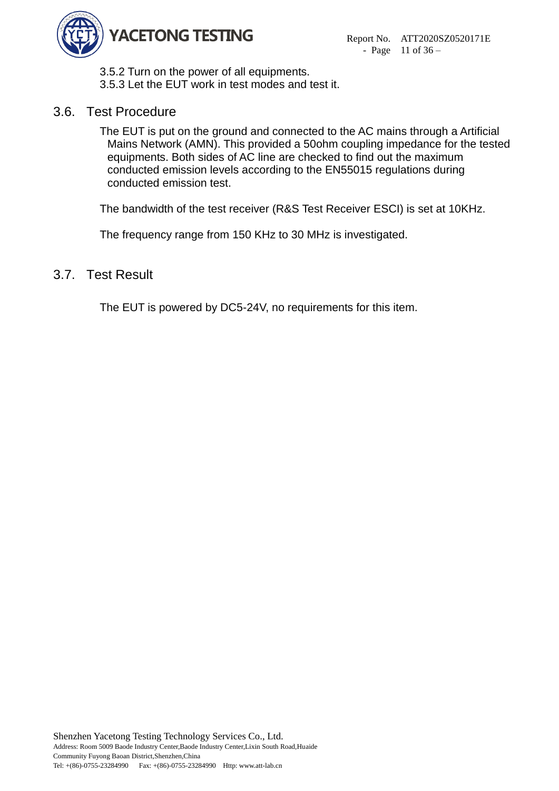

3.5.2 Turn on the power of all equipments. 3.5.3 Let the EUT work in test modes and test it.

# <span id="page-10-0"></span>3.6. Test Procedure

The EUT is put on the ground and connected to the AC mains through a Artificial Mains Network (AMN). This provided a 50ohm coupling impedance for the tested equipments. Both sides of AC line are checked to find out the maximum conducted emission levels according to the EN55015 regulations during conducted emission test.

The bandwidth of the test receiver (R&S Test Receiver ESCI) is set at 10KHz.

The frequency range from 150 KHz to 30 MHz is investigated.

# <span id="page-10-1"></span>3.7. Test Result

The EUT is powered by DC5-24V, no requirements for this item.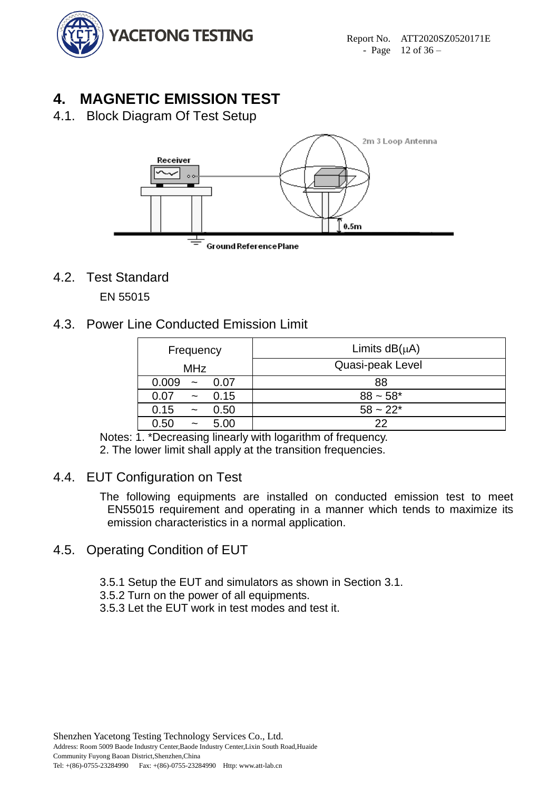

# <span id="page-11-0"></span>**4. MAGNETIC EMISSION TEST**

<span id="page-11-1"></span>4.1. Block Diagram Of Test Setup



<span id="page-11-2"></span>4.2. Test Standard

EN 55015

<span id="page-11-3"></span>4.3. Power Line Conducted Emission Limit

| Frequency                             | Limits $dB(\mu A)$ |  |  |  |  |
|---------------------------------------|--------------------|--|--|--|--|
| <b>MHz</b>                            | Quasi-peak Level   |  |  |  |  |
| 0.009<br>0.07<br>$\sim$               | 88                 |  |  |  |  |
| 0.15<br>0.07<br>$\tilde{\phantom{a}}$ | $88 - 58*$         |  |  |  |  |
| 0.15<br>0.50<br>$\sim$                | $58 - 22*$         |  |  |  |  |
| 5.00<br>0.50<br>$\tilde{\phantom{a}}$ | 22                 |  |  |  |  |

Notes: 1. \*Decreasing linearly with logarithm of frequency.

2. The lower limit shall apply at the transition frequencies.

# <span id="page-11-4"></span>4.4. EUT Configuration on Test

The following equipments are installed on conducted emission test to meet EN55015 requirement and operating in a manner which tends to maximize its emission characteristics in a normal application.

# <span id="page-11-5"></span>4.5. Operating Condition of EUT

3.5.1 Setup the EUT and simulators as shown in Section 3.1.

3.5.2 Turn on the power of all equipments.

3.5.3 Let the EUT work in test modes and test it.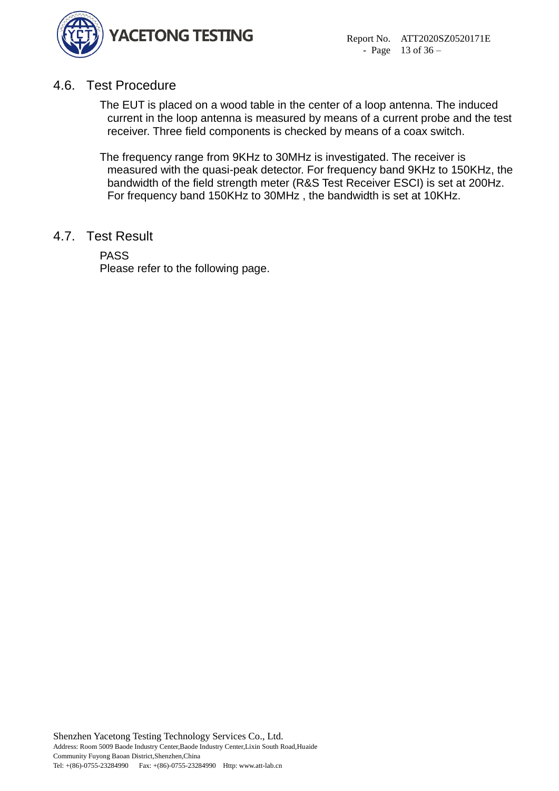

# <span id="page-12-0"></span>4.6. Test Procedure

The EUT is placed on a wood table in the center of a loop antenna. The induced current in the loop antenna is measured by means of a current probe and the test receiver. Three field components is checked by means of a coax switch.

The frequency range from 9KHz to 30MHz is investigated. The receiver is measured with the quasi-peak detector. For frequency band 9KHz to 150KHz, the bandwidth of the field strength meter (R&S Test Receiver ESCI) is set at 200Hz. For frequency band 150KHz to 30MHz , the bandwidth is set at 10KHz.

### <span id="page-12-1"></span>4.7. Test Result

PASS

Please refer to the following page.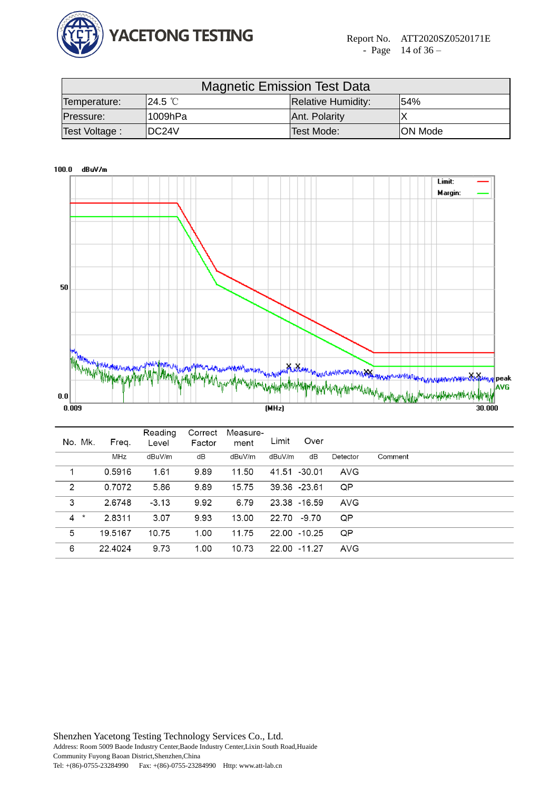

| <b>Magnetic Emission Test Data</b> |                                                     |               |                |  |  |  |  |
|------------------------------------|-----------------------------------------------------|---------------|----------------|--|--|--|--|
| Temperature:                       | <b>Relative Humidity:</b><br><b>ଏ24.5 ℃</b><br>154% |               |                |  |  |  |  |
| Pressure:                          | l1009hPa                                            | Ant. Polarity |                |  |  |  |  |
| Test Voltage:                      | IDC24V                                              | Test Mode:    | <b>ON Mode</b> |  |  |  |  |



| No. Mk.                          | Freq.   | Reading<br>Level | Correct<br>Factor | Measure-<br>ment | Limit        | Over  |            |         |
|----------------------------------|---------|------------------|-------------------|------------------|--------------|-------|------------|---------|
|                                  | MHz     | dBuV/m           | dB                | dBuV/m           | dBuV/m       | dB    | Detector   | Comment |
|                                  | 0.5916  | 1.61             | 9.89              | 11.50            | 41.51 -30.01 |       | <b>AVG</b> |         |
| 2                                | 0.7072  | 5.86             | 9.89              | 15.75            | 39.36 -23.61 |       | QP         |         |
| 3                                | 2.6748  | $-3.13$          | 9.92              | 6.79             | 23.38 -16.59 |       | <b>AVG</b> |         |
| $\overline{4}$<br>$\pmb{\times}$ | 2.8311  | 3.07             | 9.93              | 13.00            | 22.70        | -9.70 | QP         |         |
| 5                                | 19.5167 | 10.75            | 1.00              | 11.75            | 22.00 -10.25 |       | QP         |         |
| 6                                | 22.4024 | 9.73             | 1.00              | 10.73            | 22.00 -11.27 |       | <b>AVG</b> |         |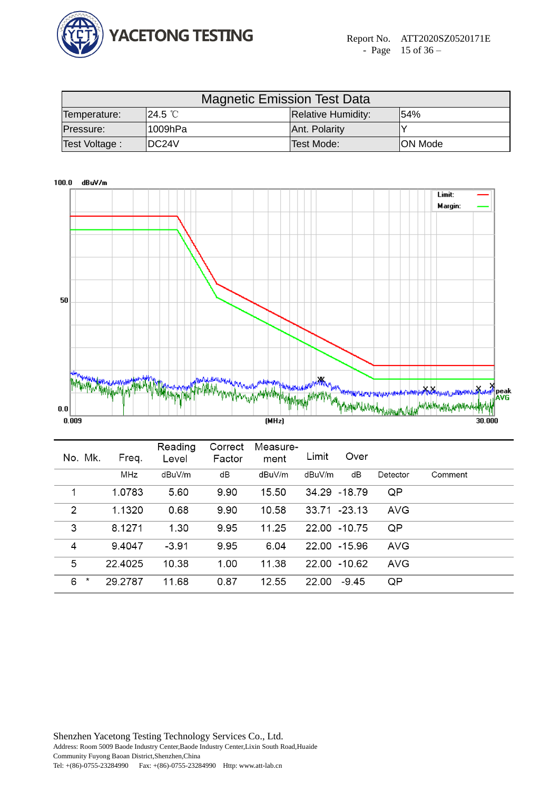

| <b>Magnetic Emission Test Data</b> |                                                           |               |          |  |  |  |  |  |
|------------------------------------|-----------------------------------------------------------|---------------|----------|--|--|--|--|--|
| Temperature:                       | <sup>¶</sup> 24.5 ℃ା<br>154%<br><b>Relative Humidity:</b> |               |          |  |  |  |  |  |
| Pressure:                          | l1009hPa                                                  | Ant. Polarity |          |  |  |  |  |  |
| Test Voltage:                      | IDC24V                                                    | Test Mode:    | ION Mode |  |  |  |  |  |



| No. Mk.         | Freq.      | Reading<br>Level | Correct<br>Factor | Measure-<br>ment | Limit  | Over          |            |         |
|-----------------|------------|------------------|-------------------|------------------|--------|---------------|------------|---------|
|                 | <b>MHz</b> | dBuV/m           | dB                | dBuV/m           | dBuV/m | dB            | Detector   | Comment |
| 1               | 1.0783     | 5.60             | 9.90              | 15.50            |        | 34.29 - 18.79 | QP         |         |
| 2               | 1.1320     | 0.68             | 9.90              | 10.58            |        | 33.71 - 23.13 | <b>AVG</b> |         |
| 3               | 8.1271     | 1.30             | 9.95              | 11.25            | 22.00  | $-10.75$      | QP         |         |
| 4               | 9.4047     | $-3.91$          | 9.95              | 6.04             | 22.00  | $-15.96$      | <b>AVG</b> |         |
| 5               | 22.4025    | 10.38            | 1.00              | 11.38            | 22.00  | -10.62        | <b>AVG</b> |         |
| $^{\star}$<br>6 | 29.2787    | 11.68            | 0.87              | 12.55            | 22.00  | $-9.45$       | QP         |         |
|                 |            |                  |                   |                  |        |               |            |         |

Shenzhen Yacetong Testing Technology Services Co., Ltd. Address: Room 5009 Baode Industry Center,Baode Industry Center,Lixin South Road,Huaide Community Fuyong Baoan District,Shenzhen,China Tel: +(86)-0755-23284990 Fax: +(86)-0755-23284990 Http: www.att-lab.cn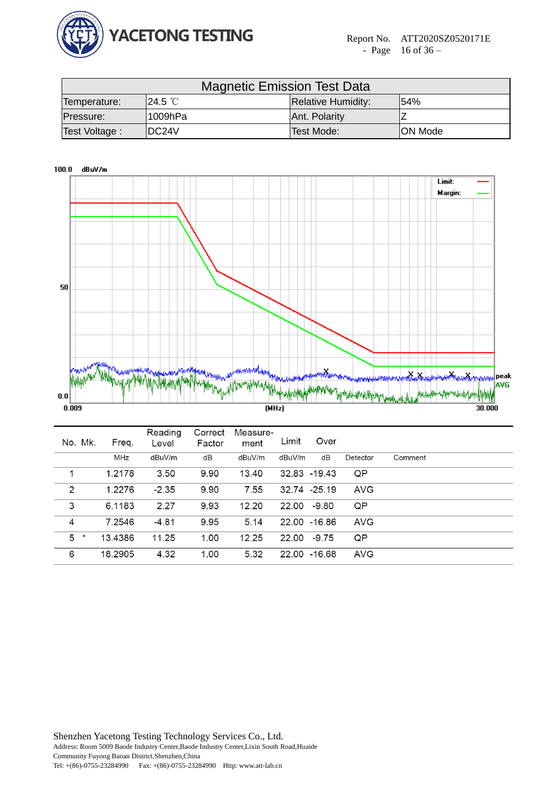

|                         | <b>Magnetic Emission Test Data</b> |                |                           |      |  |  |  |  |  |
|-------------------------|------------------------------------|----------------|---------------------------|------|--|--|--|--|--|
|                         | Temperature:                       | <b>ଏ24.5 ℃</b> | <b>Relative Humidity:</b> | 154% |  |  |  |  |  |
|                         | 1009hPa<br>Pressure:               |                | Ant. Polarity             |      |  |  |  |  |  |
| IDC24V<br>Test Voltage: |                                    | Test Mode:     | <b>ON Mode</b>            |      |  |  |  |  |  |



| No. Mk. | Freq.      | Reading<br>Level | Correct<br>Factor | Measure-<br>ment | Limit  | Over          |            |         |  |
|---------|------------|------------------|-------------------|------------------|--------|---------------|------------|---------|--|
|         | <b>MHz</b> | dBuV/m           | dB                | dBuV/m           | dBuV/m | dB            | Detector   | Comment |  |
| 1       | 1.2178     | 3.50             | 9.90              | 13.40            |        | 32.83 - 19.43 | QP         |         |  |
| 2       | 1.2276     | $-2.35$          | 9.90              | 7.55             |        | 32.74 -25.19  | <b>AVG</b> |         |  |
| 3       | 6.1183     | 2.27             | 9.93              | 12.20            | 22.00  | -9.80         | QP         |         |  |
| 4       | 7.2546     | $-4.81$          | 9.95              | 5.14             |        | 22.00 -16.86  | <b>AVG</b> |         |  |
| 5<br>*  | 13.4386    | 11.25            | 1.00              | 12.25            | 22.00  | $-9.75$       | QP         |         |  |
| 6       | 18.2905    | 4.32             | 1.00              | 5.32             |        | 22.00 -16.68  | <b>AVG</b> |         |  |
|         |            |                  |                   |                  |        |               |            |         |  |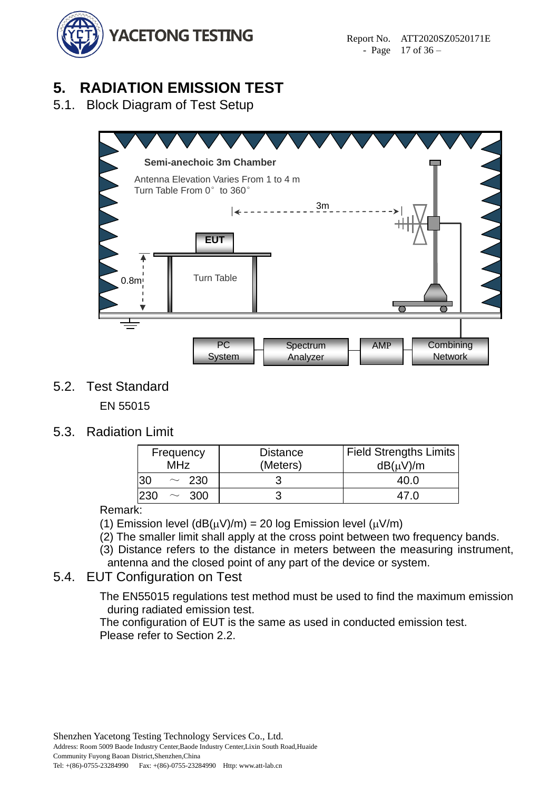

# <span id="page-16-0"></span>**5. RADIATION EMISSION TEST**

<span id="page-16-1"></span>5.1. Block Diagram of Test Setup



<span id="page-16-2"></span>5.2. Test Standard

EN 55015

<span id="page-16-3"></span>5.3. Radiation Limit

| Frequency<br><b>MHz</b> | <b>Distance</b><br>(Meters) | <b>Field Strengths Limits</b><br>$dB(\mu V)/m$ |
|-------------------------|-----------------------------|------------------------------------------------|
| 30<br>$\sim 230$        |                             | 40.0                                           |
| -300                    |                             |                                                |

Remark:

(1) Emission level (dB( $\mu$ V)/m) = 20 log Emission level ( $\mu$ V/m)

(2) The smaller limit shall apply at the cross point between two frequency bands.

(3) Distance refers to the distance in meters between the measuring instrument, antenna and the closed point of any part of the device or system.

# <span id="page-16-4"></span>5.4. EUT Configuration on Test

The EN55015 regulations test method must be used to find the maximum emission during radiated emission test.

The configuration of EUT is the same as used in conducted emission test. Please refer to Section 2.2.

Shenzhen Yacetong Testing Technology Services Co., Ltd.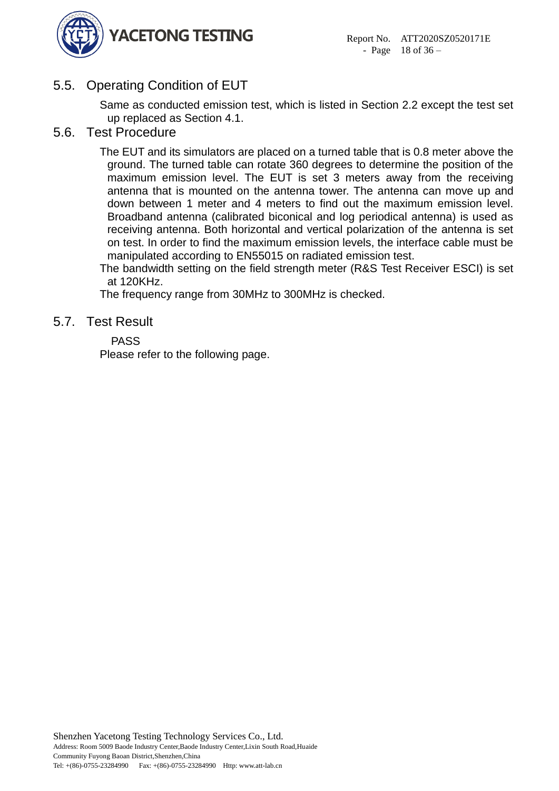

# <span id="page-17-0"></span>5.5. Operating Condition of EUT

Same as conducted emission test, which is listed in Section 2.2 except the test set up replaced as Section 4.1.

### <span id="page-17-1"></span>5.6. Test Procedure

The EUT and its simulators are placed on a turned table that is 0.8 meter above the ground. The turned table can rotate 360 degrees to determine the position of the maximum emission level. The EUT is set 3 meters away from the receiving antenna that is mounted on the antenna tower. The antenna can move up and down between 1 meter and 4 meters to find out the maximum emission level. Broadband antenna (calibrated biconical and log periodical antenna) is used as receiving antenna. Both horizontal and vertical polarization of the antenna is set on test. In order to find the maximum emission levels, the interface cable must be manipulated according to EN55015 on radiated emission test.

The bandwidth setting on the field strength meter (R&S Test Receiver ESCI) is set at 120KHz.

The frequency range from 30MHz to 300MHz is checked.

### <span id="page-17-2"></span>5.7. Test Result

### PASS

Please refer to the following page.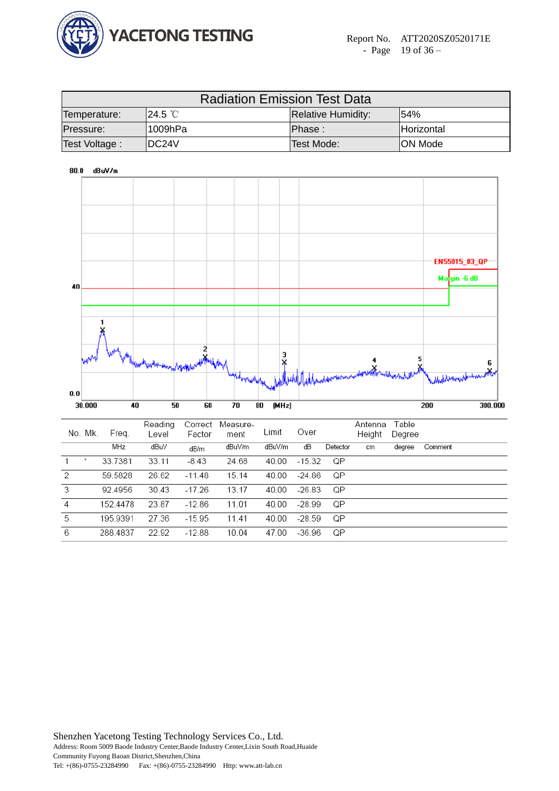

| <b>Radiation Emission Test Data</b> |                                              |            |                 |  |  |  |  |  |  |
|-------------------------------------|----------------------------------------------|------------|-----------------|--|--|--|--|--|--|
| Temperature:                        | 154%<br>"24.5 ℃<br><b>Relative Humidity:</b> |            |                 |  |  |  |  |  |  |
| Pressure:                           | '1009hPa                                     | Phase :    | Horizontal      |  |  |  |  |  |  |
| Test Voltage:                       | <b>IDC24V</b>                                | Test Mode: | <b>ION Mode</b> |  |  |  |  |  |  |

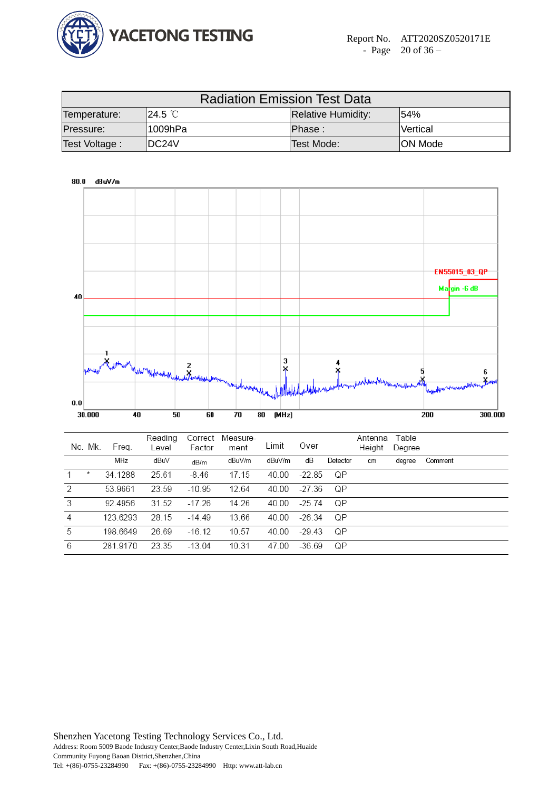

| <b>Radiation Emission Test Data</b>                                      |         |            |                |  |  |  |  |  |  |
|--------------------------------------------------------------------------|---------|------------|----------------|--|--|--|--|--|--|
| 54%<br><sup>¶</sup> 24.5 ℃ା<br><b>Relative Humidity:</b><br>Temperature: |         |            |                |  |  |  |  |  |  |
| Pressure:                                                                | 1009hPa | Phase :    | Vertical       |  |  |  |  |  |  |
| Test Voltage :                                                           | IDC24V  | Test Mode: | <b>ON Mode</b> |  |  |  |  |  |  |



|   | No. Mk. | Freg.    | nouunu<br>Level | Factor   | CONCO MOUJUIU-<br>ment | Limit  | Over     |          | 1.111111<br>Height | <b>I</b> GUIT<br>Degree |         |
|---|---------|----------|-----------------|----------|------------------------|--------|----------|----------|--------------------|-------------------------|---------|
|   |         | MHz      | dBuV            | dB/m     | dBuV/m                 | dBuV/m | dВ       | Detector | cm                 | degree                  | Comment |
|   | ж       | 34.1288  | 25.61           | $-8.46$  | 17.15                  | 40.00  | -22.85   | ΩP       |                    |                         |         |
| 2 |         | 53.9661  | 23.59           | $-10.95$ | 12.64                  | 40.00  | -27.36   | QP       |                    |                         |         |
| 3 |         | 92.4956  | 31.52           | $-17.26$ | 14.26                  | 40.00  | $-25.74$ | QP       |                    |                         |         |
| 4 |         | 123.6293 | 28.15           | $-14.49$ | 13.66                  | 40.00  | $-26.34$ | QP       |                    |                         |         |
| 5 |         | 198.6649 | 26.69           | $-16.12$ | 10.57                  | 40.00  | $-29.43$ | ΩP       |                    |                         |         |
| 6 |         | 281.9170 | 23.35           | $-13.04$ | 10.31                  | 47.00  | -36.69   | QP       |                    |                         |         |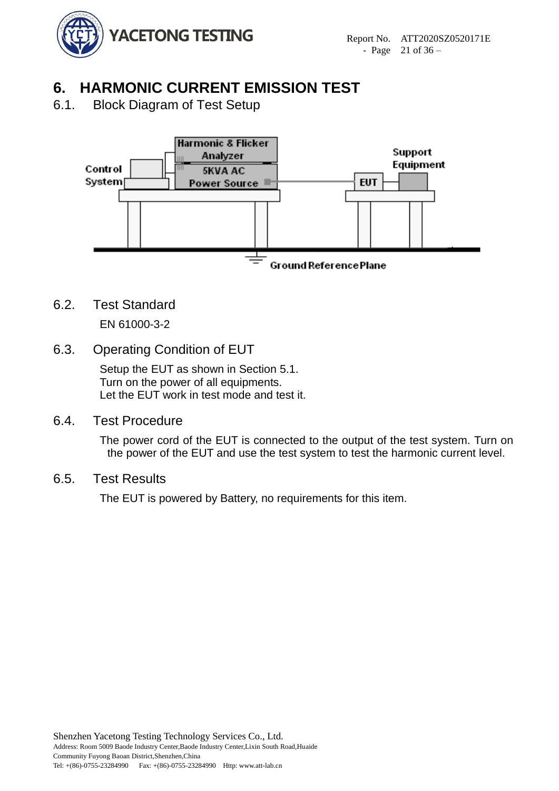

# <span id="page-20-0"></span>**6. HARMONIC CURRENT EMISSION TEST**

<span id="page-20-1"></span>6.1. Block Diagram of Test Setup



6.2. Test Standard

<span id="page-20-2"></span>EN 61000-3-2

6.3. Operating Condition of EUT

<span id="page-20-3"></span>Setup the EUT as shown in Section 5.1. Turn on the power of all equipments. Let the EUT work in test mode and test it.

6.4. Test Procedure

<span id="page-20-4"></span>The power cord of the EUT is connected to the output of the test system. Turn on the power of the EUT and use the test system to test the harmonic current level.

# 6.5. Test Results

<span id="page-20-5"></span>The EUT is powered by Battery, no requirements for this item.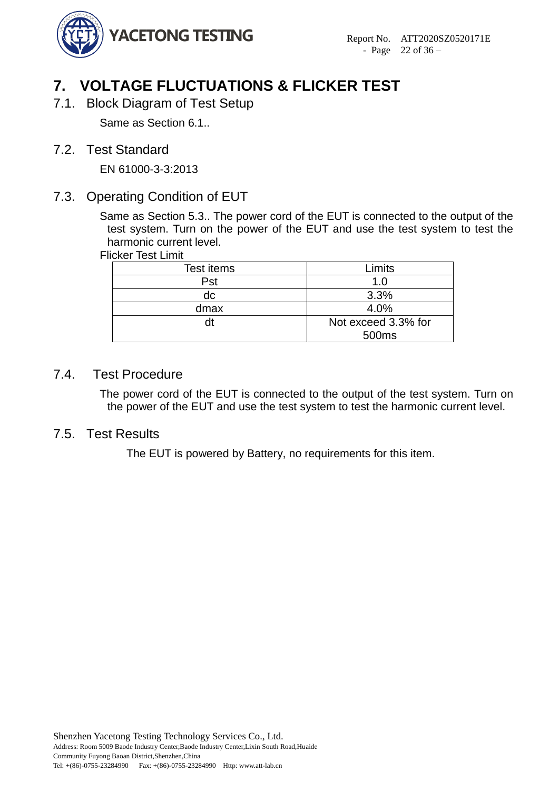

# <span id="page-21-0"></span>**7. VOLTAGE FLUCTUATIONS & FLICKER TEST**

<span id="page-21-1"></span>7.1. Block Diagram of Test Setup

Same as Section 6.1..

<span id="page-21-2"></span>7.2. Test Standard

EN 61000-3-3:2013

# <span id="page-21-3"></span>7.3. Operating Condition of EUT

Same as Section 5.3.. The power cord of the EUT is connected to the output of the test system. Turn on the power of the EUT and use the test system to test the harmonic current level.

Flicker Test Limit

| Test items | Limits              |
|------------|---------------------|
| Pst        | 1.0                 |
| dc         | 3.3%                |
| dmax       | 4.0%                |
| dt         | Not exceed 3.3% for |
|            | 500 <sub>ms</sub>   |

### 7.4. Test Procedure

<span id="page-21-4"></span>The power cord of the EUT is connected to the output of the test system. Turn on the power of the EUT and use the test system to test the harmonic current level.

### <span id="page-21-5"></span>7.5. Test Results

The EUT is powered by Battery, no requirements for this item.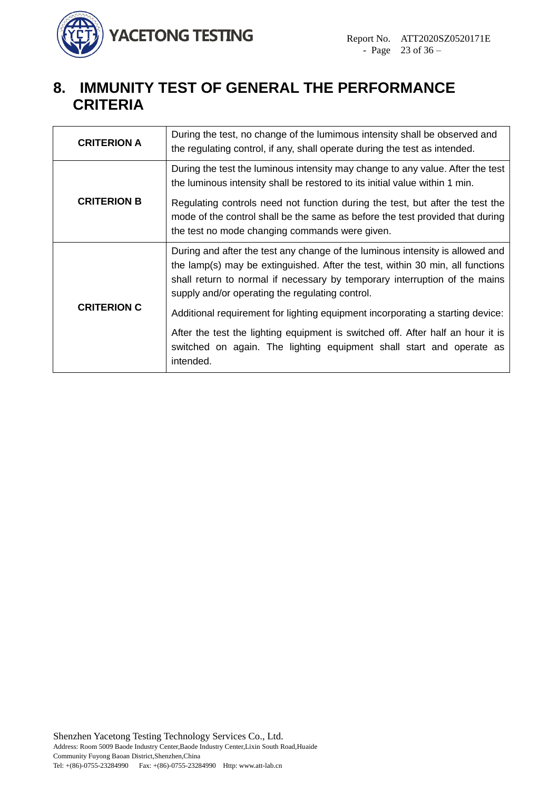

# <span id="page-22-0"></span>**8. IMMUNITY TEST OF GENERAL THE PERFORMANCE CRITERIA**

| During the test the luminous intensity may change to any value. After the test<br>the luminous intensity shall be restored to its initial value within 1 min.<br><b>CRITERION B</b><br>Regulating controls need not function during the test, but after the test the<br>mode of the control shall be the same as before the test provided that during<br>the test no mode changing commands were given.<br>During and after the test any change of the luminous intensity is allowed and<br>the lamp(s) may be extinguished. After the test, within 30 min, all functions<br>shall return to normal if necessary by temporary interruption of the mains<br>supply and/or operating the regulating control.<br><b>CRITERION C</b><br>Additional requirement for lighting equipment incorporating a starting device:<br>After the test the lighting equipment is switched off. After half an hour it is | <b>CRITERION A</b> | During the test, no change of the lumimous intensity shall be observed and<br>the regulating control, if any, shall operate during the test as intended. |
|-------------------------------------------------------------------------------------------------------------------------------------------------------------------------------------------------------------------------------------------------------------------------------------------------------------------------------------------------------------------------------------------------------------------------------------------------------------------------------------------------------------------------------------------------------------------------------------------------------------------------------------------------------------------------------------------------------------------------------------------------------------------------------------------------------------------------------------------------------------------------------------------------------|--------------------|----------------------------------------------------------------------------------------------------------------------------------------------------------|
|                                                                                                                                                                                                                                                                                                                                                                                                                                                                                                                                                                                                                                                                                                                                                                                                                                                                                                       |                    |                                                                                                                                                          |
|                                                                                                                                                                                                                                                                                                                                                                                                                                                                                                                                                                                                                                                                                                                                                                                                                                                                                                       |                    |                                                                                                                                                          |
|                                                                                                                                                                                                                                                                                                                                                                                                                                                                                                                                                                                                                                                                                                                                                                                                                                                                                                       |                    | switched on again. The lighting equipment shall start and operate as                                                                                     |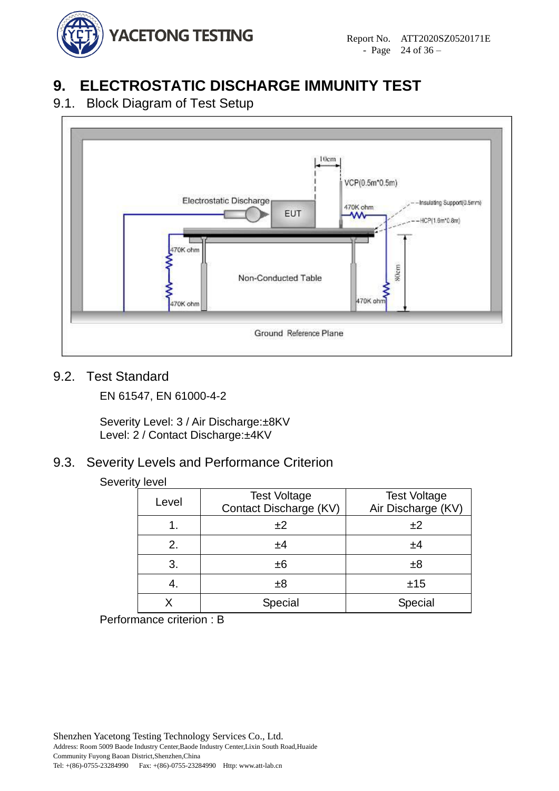

# <span id="page-23-0"></span>**9. ELECTROSTATIC DISCHARGE IMMUNITY TEST**

# <span id="page-23-1"></span>9.1. Block Diagram of Test Setup



# <span id="page-23-2"></span>9.2. Test Standard

EN 61547, EN 61000-4-2

Severity Level: 3 / Air Discharge:±8KV Level: 2 / Contact Discharge: ±4KV

# <span id="page-23-3"></span>9.3. Severity Levels and Performance Criterion

#### Severity level

| Level | <b>Test Voltage</b><br>Contact Discharge (KV) | <b>Test Voltage</b><br>Air Discharge (KV) |  |  |
|-------|-----------------------------------------------|-------------------------------------------|--|--|
| 1.    | ±2                                            | ±2                                        |  |  |
| 2.    | ±4                                            | ±4                                        |  |  |
| 3.    | ±6                                            | ±8                                        |  |  |
| 4.    | ±8                                            | ±15                                       |  |  |
|       | Special                                       | Special                                   |  |  |

Performance criterion : B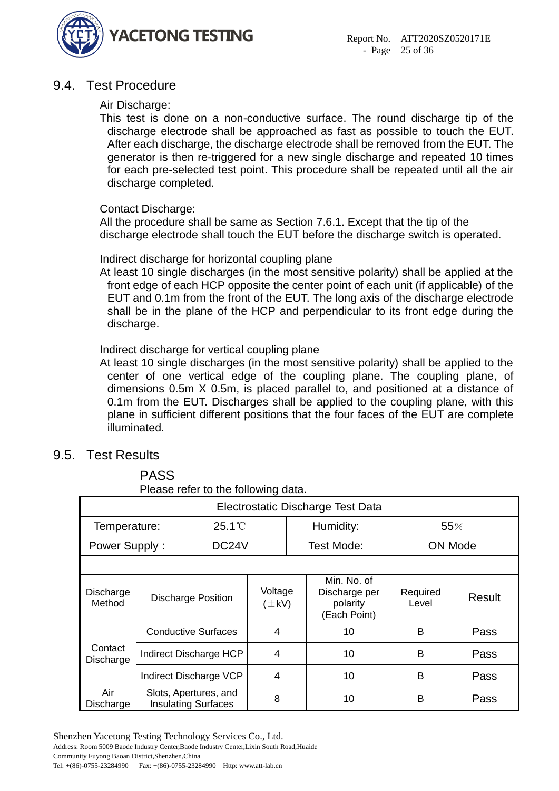

# <span id="page-24-0"></span>9.4. Test Procedure

#### Air Discharge:

This test is done on a non-conductive surface. The round discharge tip of the discharge electrode shall be approached as fast as possible to touch the EUT. After each discharge, the discharge electrode shall be removed from the EUT. The generator is then re-triggered for a new single discharge and repeated 10 times for each pre-selected test point. This procedure shall be repeated until all the air discharge completed.

#### Contact Discharge:

All the procedure shall be same as Section 7.6.1. Except that the tip of the discharge electrode shall touch the EUT before the discharge switch is operated.

#### Indirect discharge for horizontal coupling plane

At least 10 single discharges (in the most sensitive polarity) shall be applied at the front edge of each HCP opposite the center point of each unit (if applicable) of the EUT and 0.1m from the front of the EUT. The long axis of the discharge electrode shall be in the plane of the HCP and perpendicular to its front edge during the discharge.

#### Indirect discharge for vertical coupling plane

At least 10 single discharges (in the most sensitive polarity) shall be applied to the center of one vertical edge of the coupling plane. The coupling plane, of dimensions 0.5m X 0.5m, is placed parallel to, and positioned at a distance of 0.1m from the EUT. Discharges shall be applied to the coupling plane, with this plane in sufficient different positions that the four faces of the EUT are complete illuminated.

### <span id="page-24-1"></span>9.5. Test Results

PASS

|                      | Please refer to the following data. |                                                     |                       |  |                                                          |                   |                |  |  |  |
|----------------------|-------------------------------------|-----------------------------------------------------|-----------------------|--|----------------------------------------------------------|-------------------|----------------|--|--|--|
|                      | Electrostatic Discharge Test Data   |                                                     |                       |  |                                                          |                   |                |  |  |  |
| Temperature:         |                                     | $25.1^{\circ}$                                      |                       |  | Humidity:                                                |                   | 55%            |  |  |  |
| Power Supply:        |                                     | DC24V                                               |                       |  | Test Mode:                                               |                   | <b>ON Mode</b> |  |  |  |
|                      |                                     |                                                     |                       |  |                                                          |                   |                |  |  |  |
| Discharge<br>Method  | <b>Discharge Position</b>           |                                                     | Voltage<br>$(\pm kV)$ |  | Min. No. of<br>Discharge per<br>polarity<br>(Each Point) | Required<br>Level | <b>Result</b>  |  |  |  |
|                      | <b>Conductive Surfaces</b>          |                                                     | $\overline{4}$        |  | 10                                                       | B                 | Pass           |  |  |  |
| Contact<br>Discharge | Indirect Discharge HCP              |                                                     | $\overline{4}$        |  | 10                                                       | B                 | Pass           |  |  |  |
|                      | Indirect Discharge VCP              |                                                     | 4                     |  | 10                                                       | B                 | Pass           |  |  |  |
| Air<br>Discharge     |                                     | Slots, Apertures, and<br><b>Insulating Surfaces</b> | 8                     |  | 10                                                       | B                 | Pass           |  |  |  |

Shenzhen Yacetong Testing Technology Services Co., Ltd.

Address: Room 5009 Baode Industry Center,Baode Industry Center,Lixin South Road,Huaide Community Fuyong Baoan District,Shenzhen,China Tel: +(86)-0755-23284990 Fax: +(86)-0755-23284990 Http: www.att-lab.cn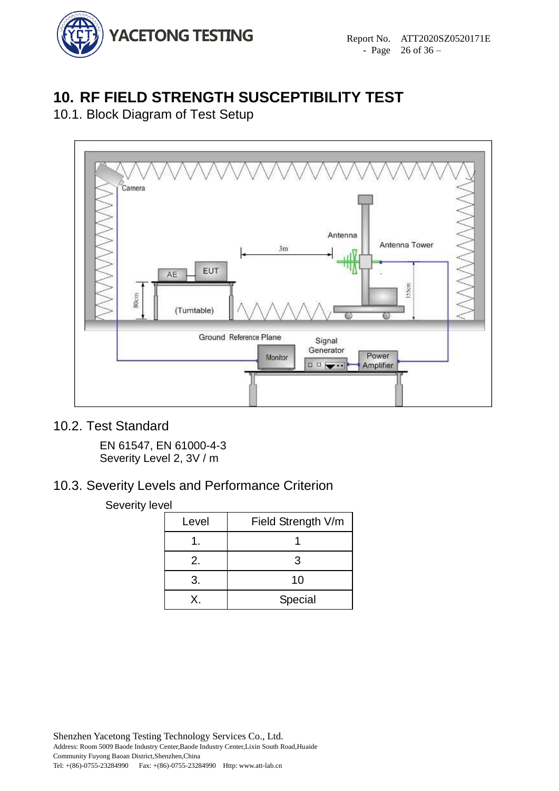

# <span id="page-25-0"></span>**10. RF FIELD STRENGTH SUSCEPTIBILITY TEST**

<span id="page-25-1"></span>10.1. Block Diagram of Test Setup



# <span id="page-25-2"></span>10.2. Test Standard

EN 61547, EN 61000-4-3 Severity Level 2, 3V / m

# <span id="page-25-3"></span>10.3. Severity Levels and Performance Criterion

#### Severity level

| Level | Field Strength V/m |  |  |  |
|-------|--------------------|--|--|--|
|       |                    |  |  |  |
| 2.    | 3                  |  |  |  |
| 3.    | 10                 |  |  |  |
| X.    | Special            |  |  |  |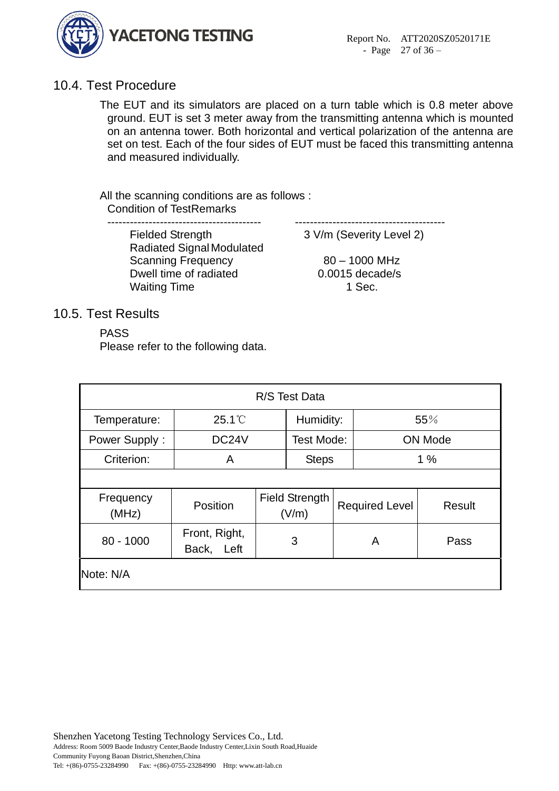

# <span id="page-26-0"></span>10.4. Test Procedure

The EUT and its simulators are placed on a turn table which is 0.8 meter above ground. EUT is set 3 meter away from the transmitting antenna which is mounted on an antenna tower. Both horizontal and vertical polarization of the antenna are set on test. Each of the four sides of EUT must be faced this transmitting antenna and measured individually.

All the scanning conditions are as follows : Condition of TestRemarks

----------------------------------------- ----------------------------------------

Fielded Strength 3 V/m (Severity Level 2) Radiated Signal Modulated Scanning Frequency 80 – 1000 MHz Dwell time of radiated 0.0015 decade/s Waiting Time 1 Sec.

### <span id="page-26-1"></span>10.5. Test Results

PASS

Please refer to the following data.

| R/S Test Data      |                             |   |                         |   |                       |        |  |  |
|--------------------|-----------------------------|---|-------------------------|---|-----------------------|--------|--|--|
| Temperature:       | $25.1^{\circ}$              |   | Humidity:               |   |                       | 55%    |  |  |
| Power Supply:      | DC <sub>24</sub> V          |   | Test Mode:              |   | <b>ON Mode</b>        |        |  |  |
| Criterion:         | A                           |   | <b>Steps</b>            |   |                       | 1%     |  |  |
|                    |                             |   |                         |   |                       |        |  |  |
| Frequency<br>(MHz) | Position                    |   | Field Strength<br>(V/m) |   | <b>Required Level</b> | Result |  |  |
| $80 - 1000$        | Front, Right,<br>Back, Left | 3 |                         | A |                       | Pass   |  |  |
| Note: N/A          |                             |   |                         |   |                       |        |  |  |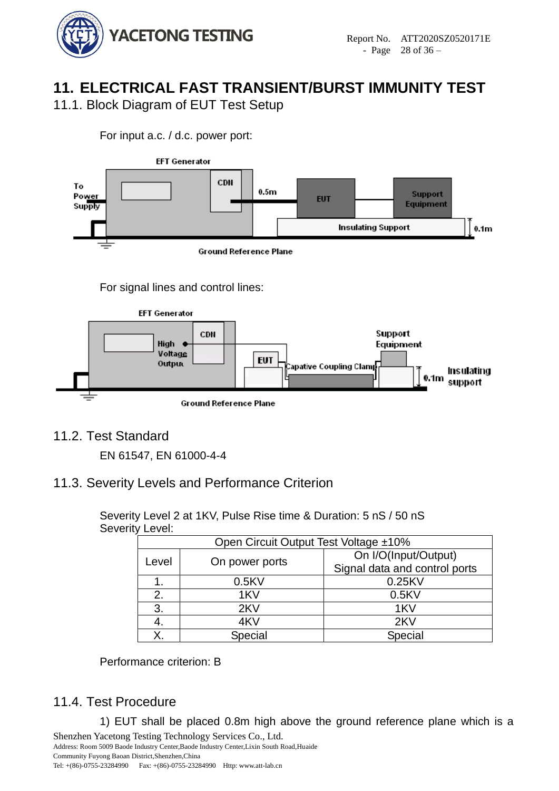

# <span id="page-27-0"></span>**11. ELECTRICAL FAST TRANSIENT/BURST IMMUNITY TEST**

<span id="page-27-1"></span>11.1. Block Diagram of EUT Test Setup

For input a.c. / d.c. power port:



For signal lines and control lines:



<span id="page-27-2"></span>11.2. Test Standard

EN 61547, EN 61000-4-4

# <span id="page-27-3"></span>11.3. Severity Levels and Performance Criterion

Severity Level 2 at 1KV, Pulse Rise time & Duration: 5 nS / 50 nS Severity Level:

| Open Circuit Output Test Voltage ±10% |                |                               |  |  |  |  |
|---------------------------------------|----------------|-------------------------------|--|--|--|--|
| Level                                 | On power ports | On I/O(Input/Output)          |  |  |  |  |
|                                       |                | Signal data and control ports |  |  |  |  |
|                                       | 0.5KV          | 0.25KV                        |  |  |  |  |
| 2.                                    | 1KV            | 0.5KV                         |  |  |  |  |
| 3.                                    | 2KV            | 1KV                           |  |  |  |  |
| 4.                                    | 4KV            | 2KV                           |  |  |  |  |
| Χ.                                    | Special        | Special                       |  |  |  |  |

Performance criterion: B

# <span id="page-27-4"></span>11.4. Test Procedure

Shenzhen Yacetong Testing Technology Services Co., Ltd. 1) EUT shall be placed 0.8m high above the ground reference plane which is a

Address: Room 5009 Baode Industry Center,Baode Industry Center,Lixin South Road,Huaide Community Fuyong Baoan District,Shenzhen,China Tel: +(86)-0755-23284990 Fax: +(86)-0755-23284990 Http: www.att-lab.cn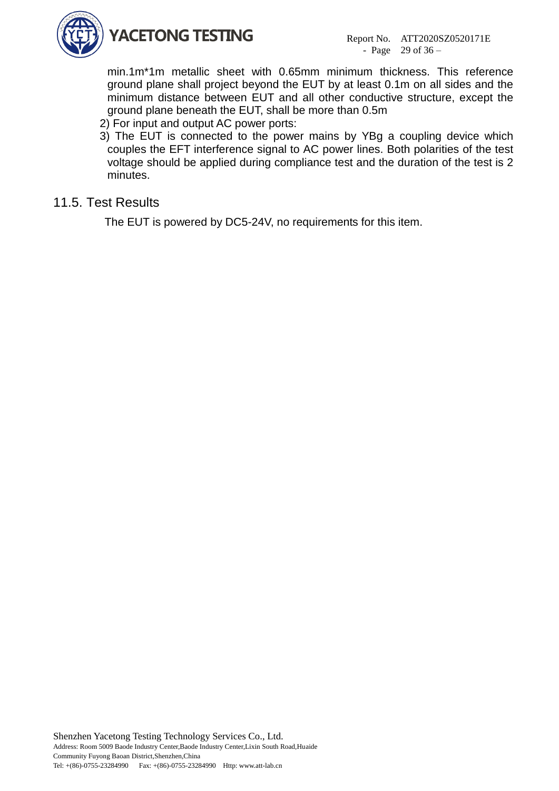

min.1m\*1m metallic sheet with 0.65mm minimum thickness. This reference ground plane shall project beyond the EUT by at least 0.1m on all sides and the minimum distance between EUT and all other conductive structure, except the ground plane beneath the EUT, shall be more than 0.5m

- 2) For input and output AC power ports:
- 3) The EUT is connected to the power mains by YBg a coupling device which couples the EFT interference signal to AC power lines. Both polarities of the test voltage should be applied during compliance test and the duration of the test is 2 minutes.

# <span id="page-28-0"></span>11.5. Test Results

The EUT is powered by DC5-24V, no requirements for this item.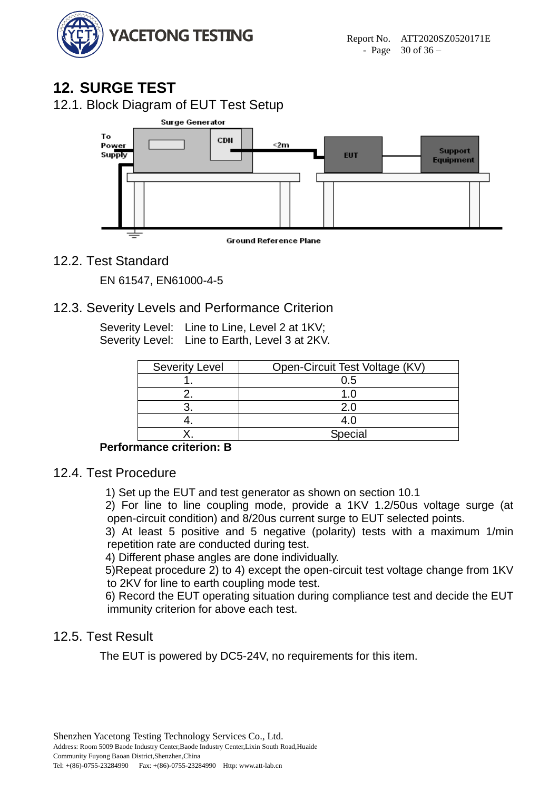

# <span id="page-29-0"></span>**12. SURGE TEST**

<span id="page-29-1"></span>12.1. Block Diagram of EUT Test Setup



**Ground Reference Plane** 

# <span id="page-29-2"></span>12.2. Test Standard

EN 61547, EN61000-4-5

# <span id="page-29-3"></span>12.3. Severity Levels and Performance Criterion

Severity Level: Line to Line, Level 2 at 1KV; Severity Level: Line to Earth, Level 3 at 2KV.

| <b>Severity Level</b> | Open-Circuit Test Voltage (KV) |  |  |
|-----------------------|--------------------------------|--|--|
|                       | 0.5                            |  |  |
|                       |                                |  |  |
|                       | 2.0                            |  |  |
|                       | 4.O                            |  |  |
|                       | Special                        |  |  |

### **Performance criterion: B**

### <span id="page-29-4"></span>12.4. Test Procedure

1) Set up the EUT and test generator as shown on section 10.1

2) For line to line coupling mode, provide a 1KV 1.2/50us voltage surge (at open-circuit condition) and 8/20us current surge to EUT selected points.

3) At least 5 positive and 5 negative (polarity) tests with a maximum 1/min repetition rate are conducted during test.

4) Different phase angles are done individually.

5)Repeat procedure 2) to 4) except the open-circuit test voltage change from 1KV to 2KV for line to earth coupling mode test.

6) Record the EUT operating situation during compliance test and decide the EUT immunity criterion for above each test.

# <span id="page-29-5"></span>12.5. Test Result

The EUT is powered by DC5-24V, no requirements for this item.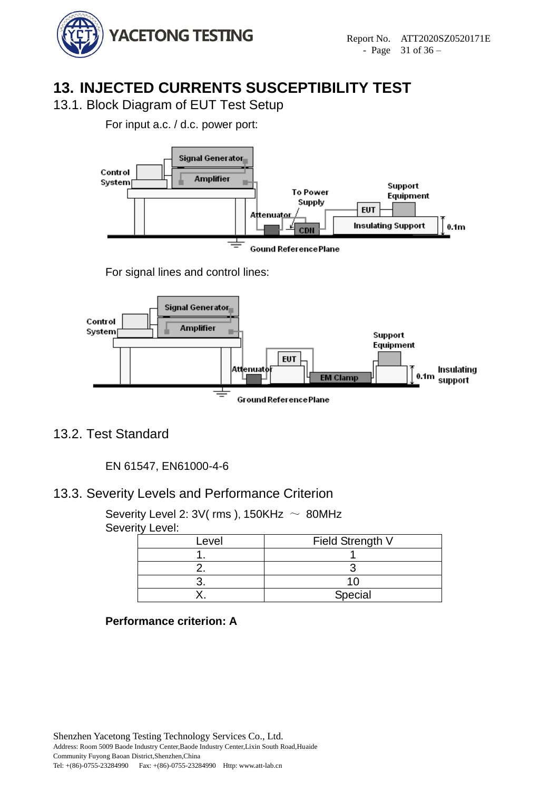

# <span id="page-30-0"></span>**13. INJECTED CURRENTS SUSCEPTIBILITY TEST**

<span id="page-30-1"></span>13.1. Block Diagram of EUT Test Setup

For input a.c. / d.c. power port:



For signal lines and control lines:



# <span id="page-30-2"></span>13.2. Test Standard

EN 61547, EN61000-4-6

# <span id="page-30-3"></span>13.3. Severity Levels and Performance Criterion

Severity Level 2:  $3V$ ( rms ), 150KHz  $\sim 80$ MHz Severity Level:

| Level | Field Strength V |  |  |
|-------|------------------|--|--|
|       |                  |  |  |
|       |                  |  |  |
|       |                  |  |  |
|       | Special          |  |  |

### **Performance criterion: A**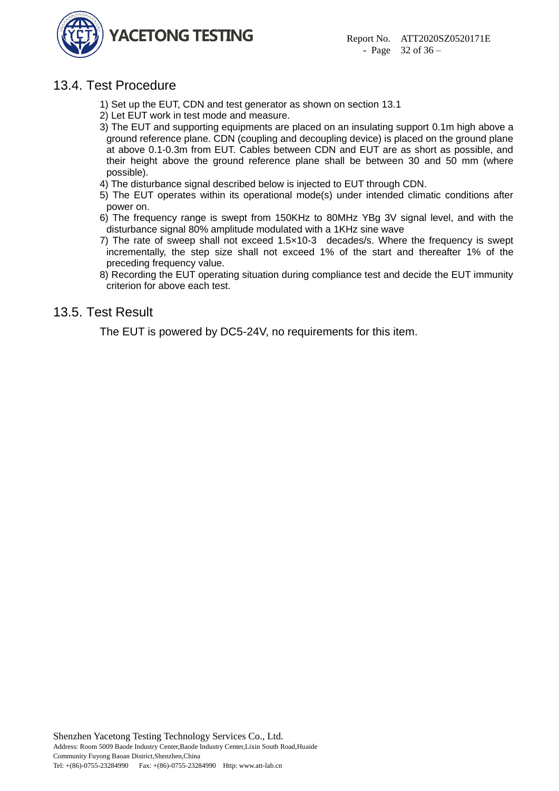

# <span id="page-31-0"></span>13.4. Test Procedure

- 1) Set up the EUT, CDN and test generator as shown on section 13.1
- 2) Let EUT work in test mode and measure.
- 3) The EUT and supporting equipments are placed on an insulating support 0.1m high above a ground reference plane. CDN (coupling and decoupling device) is placed on the ground plane at above 0.1-0.3m from EUT. Cables between CDN and EUT are as short as possible, and their height above the ground reference plane shall be between 30 and 50 mm (where possible).
- 4) The disturbance signal described below is injected to EUT through CDN.
- 5) The EUT operates within its operational mode(s) under intended climatic conditions after power on.
- 6) The frequency range is swept from 150KHz to 80MHz YBg 3V signal level, and with the disturbance signal 80% amplitude modulated with a 1KHz sine wave
- 7) The rate of sweep shall not exceed 1.5×10-3 decades/s. Where the frequency is swept incrementally, the step size shall not exceed 1% of the start and thereafter 1% of the preceding frequency value.
- 8) Recording the EUT operating situation during compliance test and decide the EUT immunity criterion for above each test.

# <span id="page-31-1"></span>13.5. Test Result

The EUT is powered by DC5-24V, no requirements for this item.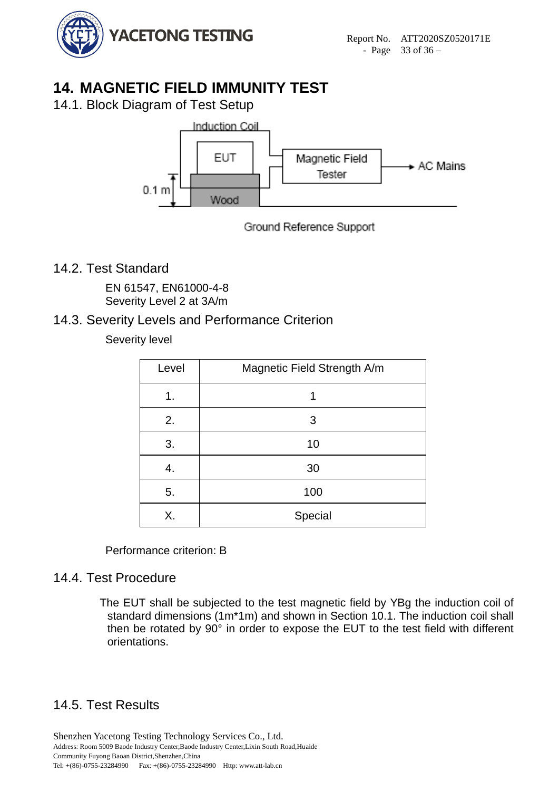

# <span id="page-32-0"></span>**14. MAGNETIC FIELD IMMUNITY TEST**

<span id="page-32-1"></span>14.1. Block Diagram of Test Setup



### Ground Reference Support

# <span id="page-32-2"></span>14.2. Test Standard

EN 61547, EN61000-4-8 Severity Level 2 at 3A/m

# <span id="page-32-3"></span>14.3. Severity Levels and Performance Criterion

### Severity level

| Level | Magnetic Field Strength A/m |  |  |
|-------|-----------------------------|--|--|
| 1.    | 1                           |  |  |
| 2.    | 3                           |  |  |
| 3.    | 10                          |  |  |
| 4.    | 30                          |  |  |
| 5.    | 100                         |  |  |
| Χ.    | Special                     |  |  |

Performance criterion: B

# <span id="page-32-4"></span>14.4. Test Procedure

The EUT shall be subjected to the test magnetic field by YBg the induction coil of standard dimensions (1m\*1m) and shown in Section 10.1. The induction coil shall then be rotated by  $90^\circ$  in order to expose the EUT to the test field with different orientations.

# <span id="page-32-5"></span>14.5. Test Results

Shenzhen Yacetong Testing Technology Services Co., Ltd. Address: Room 5009 Baode Industry Center,Baode Industry Center,Lixin South Road,Huaide Community Fuyong Baoan District,Shenzhen,China Tel: +(86)-0755-23284990 Fax: +(86)-0755-23284990 Http: www.att-lab.cn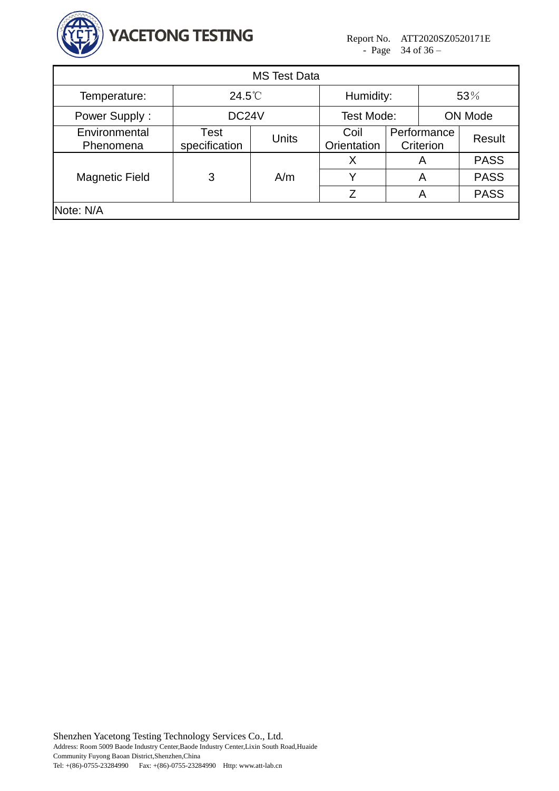

| <b>MS Test Data</b>        |                       |              |                     |   |                          |             |  |  |  |  |
|----------------------------|-----------------------|--------------|---------------------|---|--------------------------|-------------|--|--|--|--|
| Temperature:               | $24.5^{\circ}$        |              | Humidity:           |   | 53%                      |             |  |  |  |  |
| Power Supply:              | DC24V                 |              | Test Mode:          |   | <b>ON Mode</b>           |             |  |  |  |  |
| Environmental<br>Phenomena | Test<br>specification | <b>Units</b> | Coil<br>Orientation |   | Performance<br>Criterion | Result      |  |  |  |  |
|                            | 3                     | A/m          | X                   | Α |                          | <b>PASS</b> |  |  |  |  |
| <b>Magnetic Field</b>      |                       |              | Y                   | A |                          | <b>PASS</b> |  |  |  |  |
|                            |                       |              | Z                   | А |                          | <b>PASS</b> |  |  |  |  |
| Note: N/A                  |                       |              |                     |   |                          |             |  |  |  |  |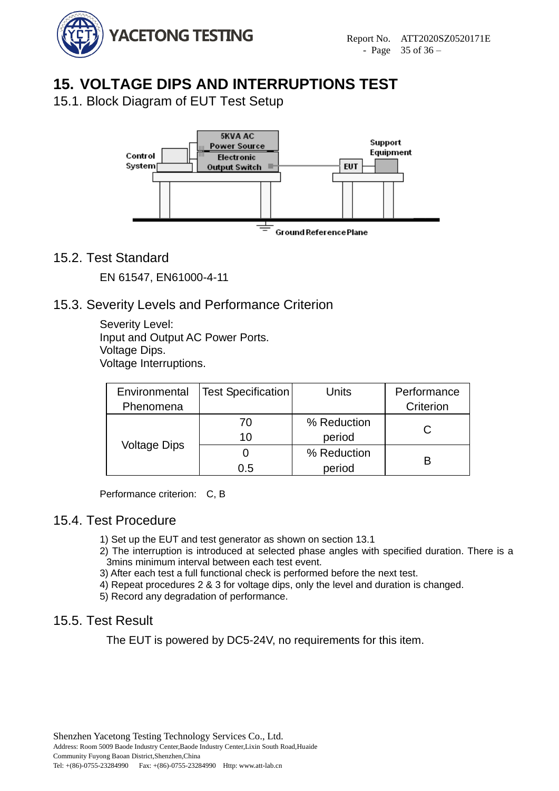

# <span id="page-34-0"></span>**15. VOLTAGE DIPS AND INTERRUPTIONS TEST**

<span id="page-34-1"></span>15.1. Block Diagram of EUT Test Setup



# <span id="page-34-2"></span>15.2. Test Standard

EN 61547, EN61000-4-11

# <span id="page-34-3"></span>15.3. Severity Levels and Performance Criterion

Severity Level: Input and Output AC Power Ports. Voltage Dips. Voltage Interruptions.

**Environmental** Phenomena Test Specification | Units | Performance **Criterion** Voltage Dips 70 10 % Reduction period C  $\Omega$ 0.5 % Reduction period B

Performance criterion: C, B

### <span id="page-34-4"></span>15.4. Test Procedure

- 1) Set up the EUT and test generator as shown on section 13.1
- 2) The interruption is introduced at selected phase angles with specified duration. There is a 3mins minimum interval between each test event.
- 3) After each test a full functional check is performed before the next test.
- 4) Repeat procedures 2 & 3 for voltage dips, only the level and duration is changed.
- 5) Record any degradation of performance.

### <span id="page-34-5"></span>15.5. Test Result

The EUT is powered by DC5-24V, no requirements for this item.